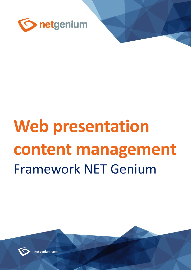

# **Web presentation content management** Framework NET Genium



netaenium.com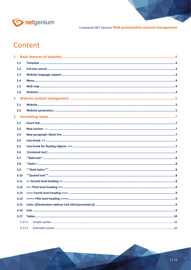

# Content

|                         | 1.1    |  |
|-------------------------|--------|--|
|                         | 1.2    |  |
|                         | 1.3    |  |
|                         | 1.4    |  |
|                         | 1.5    |  |
|                         | 1.6    |  |
|                         |        |  |
|                         | 2.1    |  |
|                         | 2.2    |  |
| $\overline{\mathbf{3}}$ |        |  |
|                         | 3.1    |  |
|                         | 3.2    |  |
|                         | 3.3    |  |
|                         | 3.4    |  |
|                         | 3.5    |  |
|                         | 3.6    |  |
|                         | 3.7    |  |
|                         | 3.8    |  |
|                         | 3.9    |  |
|                         | 3.10   |  |
|                         | 3.11   |  |
|                         | 3.12   |  |
|                         | 3.13   |  |
|                         | 3.14   |  |
|                         | 3.15   |  |
|                         | 3.16   |  |
|                         | 3.17   |  |
|                         | 3.17.1 |  |
|                         | 3.17.2 |  |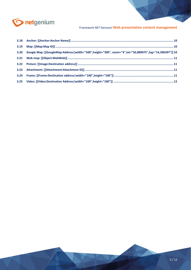

| 3.20 Google Map: [[GoogleMap:Address width="500",height="300", zoom="4",lat="50,089075",lng="14,396397"]] 10 |  |
|--------------------------------------------------------------------------------------------------------------|--|
|                                                                                                              |  |
|                                                                                                              |  |
|                                                                                                              |  |
|                                                                                                              |  |
|                                                                                                              |  |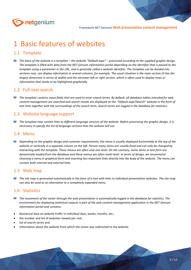

# <span id="page-3-0"></span>1 Basic features of websites

# <span id="page-3-1"></span>1.1 Template

*The basis of the website is a template – the website "Default.aspx" – processed according to the supplied graphic design.*  The template is filled with data from the NET Genium information portal depending on the identifier that is passed to the *template using a parameter in the URL, and is generally called a website identifier. The template can be divided into sections resp. can display information in several columns, for example. The usual situation is the main section (it has the largest dimension in terms of width) and the narrower left or right section, which is often used to display news or information that needs to be highlighted graphically.*

# <span id="page-3-2"></span>1.2 Full-text search

*The template contains input fields that are used to enter search terms. By default, all database tables intended for web content management are searched and search results are displayed on the "Default.aspx?Search" website in the form of text links together with the surroundings of the search term. Search terms are logged in the database for statistics.*

## <span id="page-3-3"></span>1.3 Website language support

*The template may contain links to different language versions of the website. Before processing the graphic design, it is necessary to specify the list of language versions that the website will use.*

#### <span id="page-3-4"></span>1.4 Menu

**Depending on the graphic design and customer requirements, the menu is usually displayed horizontally at the top of the** *website or vertically in a separate column on the left. Picture menu items are usually fixed and can only be changed by interacting with the template. These menus are often only one-level. On the contrary, menu items in text form are dynamically loaded from the database and these menus are often multi-level. In terms of design, we recommend choosing a menu in graphical form and inserting less important links directly into the body of the website. The menu can contain both internal and external links.*

#### <span id="page-3-5"></span>1.5 Web map

**The site map is generated automatically in the form of a tree with links to individual presentation websites. The site map** *can also be used as an alternative to a completely expanded menu.*

## <span id="page-3-6"></span>1.6 Statistics

- *The movement of the visitor through the web presentation is automatically logged in the database for statistics. The environment for displaying statistical outputs is part of the web content management application in the NET Genium information portal and contains:*
- Numerical data on website traffic in individual days, weeks, months, etc.,
- the number and list of websites viewed per visit,
- list of search terms and
- information about the website from which the visitor was redirected to the website.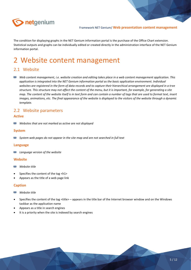

The condition for displaying graphs in the NET Genium information portal is the purchase of the Office Chart extension. Statistical outputs and graphs can be individually edited or created directly in the administration interface of the NET Genium information portal.

# <span id="page-4-0"></span>2 Website content management

#### <span id="page-4-1"></span>2.1 Website

*Web content management, i.e. website creation and editing takes place in a web content management application. This application is integrated into the NET Genium information portal as the basic application environment. Individual websites are registered in the form of data records and to capture their hierarchical arrangement are displayed in a tree structure. This structure may not affect the content of the menu, but it is important, for example, for generating a site map. The content of the website itself is in text form and can contain a number of tags that are used to format text, insert images, animations, etc. The final appearance of the website is displayed to the visitors of the website through a dynamic template.*

## <span id="page-4-2"></span>2.2 Website parameters

#### **Active**

函 *Websites that are not marked as active are not displayed*

#### **System**

80 *System web pages do not appear in the site map and are not searched in full text*

#### **Language**

28 *Language version of the website*

#### **Website**

- BN *Website title*
- Specifies the content of the tag <h1>
- Appears as the title of a web page link

#### **Caption**

#### 20 *Website title*

- Specifies the content of the tag <title> appears in the title bar of the Internet browser window and on the Windows taskbar as the application name
- Appears as a title in search engines
- It is a priority when the site is indexed by search engines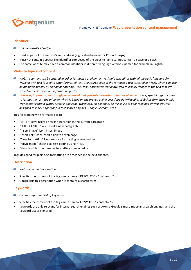

#### **Identifier**

*Unique website identifier*

- Used as part of the website's web address (e.g., calendar-event or Products.aspx)
- Must not contain a space; The identifier composed of the website name cannot contain a space or a slash
- The same website may have a common identifier in different language versions, named for example in English

#### **Website type and content**

- *Website content can be entered in either formatted or plain text. A simple text editor with all the basic functions for working with text is used to enter formatted text. The source code of the formatted text is stored in HTML, which can also be modified directly by editing or entering HTML tags. Formatted text allows you to display images in the text that are stored in the NET Genium information portal.*
- *However, in general, we strongly recommend that you enter website content as plain text. Here, special tags are used to format the text, the origin of which is based on the proven online encyclopedia Wikipedia. Websites formatted in this way cannot contain syntax errors in the code, which can, for example, be the cause of poor rankings by web crawlers designed to index pages for full-text search engines (Google, Seznam, etc.).*

Tips for working with formatted text:

- "ENTER" key: insert a newline transition in the current paragraph
- "SHIFT + ENTER" key: insert a new paragraph
- "Insert image" icon: insert image
- "Insert link" icon: insert a link to a web page
- "Clear formatting" icon: remove formatting in selected text
- "HTML mode" check box: text editing using HTML
- "Plain text" button: remove formatting in selected text

Tags designed for plain text formatting are described in the next chapter.

#### **Description**

- *Website content description*
- Specifies the content of the tag <meta name="DESCRIPTION" content="">
- Google lists this description when it contains a search term

#### **Keywords**

- 80 *Comma-separated list of keywords*
- Specifies the content of the tag <meta name="KEYWORDS" content="">
- Keywords are only relevant for internal search engines such as Atomz, Google's most important search engines, and the Keyword List are ignored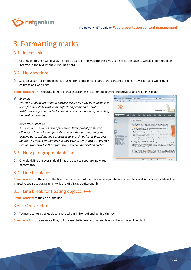

# <span id="page-6-0"></span>3 Formatting marks

#### <span id="page-6-1"></span>3.1 Insert link…

Clicking on this link will display a tree structure of the website. Here you can select the page to which a link should be inserted in the text (at the cursor position).

#### <span id="page-6-2"></span>3.2 New section: ----

 $\circ$  Section separator on the page. It is used, for example, to separate the content of the narrower left and wider right columns of a web page.

**Brand location:** on a separate line; to increase clarity, we recommend leaving the previous and next lines blank

**Allen D** *Example:*

> *The NET Genium information portal is used every day by thousands of users for their daily work in manufacturing companies, state institutions, software and telecommunications companies, consulting and training centers ...*

*----*

*== Portal Builder ==* 

*NET Genium – a web-based application development framework – allows you to build web applications and entire portals, integrate existing data, and manage processes several times faster than ever before. The most common type of web application created in the NET Genium framework is the information and communication portal.*

# <span id="page-6-3"></span>3.3 New paragraph: blank line

 $\Diamond$  One blank line or several blank lines are used to separate individual paragraphs.

<span id="page-6-4"></span>

**Brand location**: at the end of the line; the placement of the mark on a separate line or just before it is incorrect, a blank line is used to separate paragraphs; ++ is the HTML tag equivalent <br>

#### <span id="page-6-5"></span>3.5 Line break for floating objects: +++

**Brand location:** at the end of the line

# <span id="page-6-6"></span>3.6 |Centered text|

 $\circled{c}$  To insert centered text, place a vertical bar in front of and behind the text.

**Brand location:** on a separate line; to increase clarity, we recommend leaving the following line blank

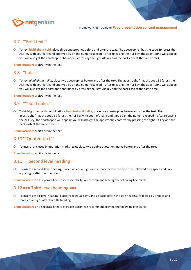

#### <span id="page-7-0"></span>3.7 '''Bold text'''

To text highlight in bold, place three apostrophes before and after the text. The apostrophe ' has the code 39 (press the ALT key with your left hand and type 39 on the numeric keypad – after releasing the ALT key, the apostrophe will appear; you will also get the apostrophe character by pressing the right Alt key and the backslash at the same time).

**Brand location:** arbitrarily in the text

#### <span id="page-7-1"></span>3.8 ''Italics''

To text *highlight in italics*, place two apostrophes before and after the text. The apostrophe ' has the code 39 (press the ALT key with your left hand and type 39 on the numeric keypad – after releasing the ALT key, the apostrophe will appear; you will also get the apostrophe character by pressing the right Alt key and the backslash at the same time).

**Brand location:** arbitrarily in the text

#### <span id="page-7-2"></span>3.9 '''''Bold italics'''''

To highlight text with combinations **bold text and italics**, place five apostrophes before and after the text. The apostrophe ' has the code 39 (press the ALT key with your left hand and type 39 on the numeric keypad – after releasing the ALT key, the apostrophe will appear; you will also get the apostrophe character by pressing the right Alt key and the backslash at the same time).

**Brand location:** arbitrarily in the text

#### <span id="page-7-3"></span>3.10 ""Quoted text""

 $\circled{c}$  To insert "enclosed in quotation marks" text, place two double quotation marks before and after the text.

**Brand location:** arbitrarily in the text

## <span id="page-7-4"></span> $3.11 ==$  Second level heading  $==$

 $\circ$  To insert a second-level heading, place two equal signs and a space before the title title, followed by a space and two equal signs after the title title.

**Brand location:** on a separate line; to increase clarity, we recommend leaving the following line blank

#### <span id="page-7-5"></span> $3.12 ==$  Third level heading  $==$

 $\circled{r}$  To insert a third-level heading, place three equal signs and a space before the title heading, followed by a space and three equal signs after the title heading.

**Brand location:** on a separate line; to increase clarity, we recommend leaving the following line blank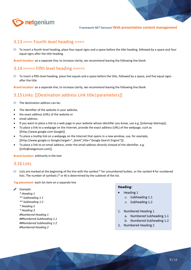

## <span id="page-8-0"></span> $3.13$  ==== Fourth level heading ====

 $\circ$  To insert a fourth level heading, place four equal signs and a space before the title heading, followed by a space and four equal signs after the title heading.

**Brand location:** on a separate line; to increase clarity, we recommend leaving the following line blank

#### <span id="page-8-1"></span> $3.14$  ===== Fifth level heading =====

 $\circ$  To insert a fifth-level heading, place five equals and a space before the title, followed by a space, and five equal signs after the title.

**Brand location:** on a separate line; to increase clarity, we recommend leaving the following line blank

# <span id="page-8-2"></span>3.15 Links: [[Destination address Link title|parameters]]

- $\circled{c}$  The destination address can be:
- The identifier of the website in your website,
- the exact address (URL) of the website or
- email address.
- If you want to place a link to a web page in your website whose identifier you know, use e.g. [[sitemap Sitemap]].
- To place a link to a webpage on the Internet, provide the exact address (URL) of the webpage, such as [[http://www.google.com Google]].
- To place a tooltip link on a webpage on the Internet that opens in a new window, use, for example, [[http://www.google.cz Google|target="\_blank",title="Google Search Engine"]]] .
- To place a link to an email address, enter the email address directly instead of the identifier, e.g. [[info@netgenium.com]].

**Brand location:** arbitrarily in the text

#### <span id="page-8-3"></span>3.16 Lists

 $\Diamond$  Lists are marked at the beginning of the line with the symbol \* for unnumbered bullets, or the symbol # for numbered lists. The number of symbols (\* or #) is determined by the sublevel of the list.

**Tag placement:** each list item on a separate line

#### *Example:*

- *\* Heading 1*
- *\*\* Subheading 1.1*
- *\*\* Subheading 1.2*
- *\* Heading 2*
- *\* Heading 3*

*#Numbered Heading 1 ##Numbered Subheading 1.1 ##Numbered Subheading 1.2 #Numbered Heading 2*

#### Heading:

- Heading 1
	- $\circ$  Subheading 1.1
	- o Subheading 1.2
- 1. Numbered Heading 1
	- a. Numbered Subheading 1.1
	- b. Numbered Subheading 1.2
- 2. Numbered Heading 2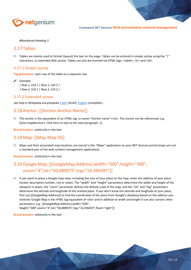

#### *#Numbered Heading 3*

#### <span id="page-9-0"></span>3.17 Tables

 $\Diamond$  Tables are mainly used to format (layout) the text on the page. Tables can be entered in simple syntax using the "|" characters, or extended Wiki syntax. Tables can also be inserted via HTML tags, <table>, <tr> and <td>.

#### <span id="page-9-1"></span>3.17.1 Simple syntax

**Tag placement:** each row of the table on a separate row

*Example: | Row 1, Cell 1 | Row 1, Cell 2 | | Row 2, Cell 1 | Row 2, Cell 2 |*

#### <span id="page-9-2"></span>3.17.2 Extended syntax

see help in Wikipedia encyclopedia [Czech](https://cs.wikipedia.org/wiki/N%C3%A1pov%C4%9Bda:Tabulky) (brief), [English](https://en.wikipedia.org/wiki/Help:Table) (complete)...

# <span id="page-9-3"></span>3.18 Anchor: [[Anchor:Anchor Name]]

 $\circled{r}$  The anchor is the equivalent of an HTML tag <a name="Anchor name"></a>. The anchor can be referenced, e.g. [[site-map#anchor1 Click here to skip to the next paragraph…]].

**Brand location:** arbitrarily in the text

#### <span id="page-9-4"></span>3.19 Map: [[Map:Map ID]]

 $\Leftrightarrow$  Maps and their associated map locations are stored in the "Maps" application on your NET Genium portal (maps are not a standard part of the web content management application).

**Brand location:** arbitrarily in the text

# <span id="page-9-5"></span>3.20Google Map: [[GoogleMap:Address|width="500",height="300", zoom="4",lat="50,089075",lng="14,396397"]]

 $\circled{r}$  If you want to place a Google map view, including the icon of your place on the map, enter the address of your place (street, descriptive number, city or state). The "width" and "height" parameters determine the width and height of the viewport in pixels, the "zoom" parameter defines the default scale of the map, and the "lat" and "lng" parameters determine the latitude and longitude of the marked place. If you don't know the latitude and longitude of your place, first use [[GoogleMap:Address]] to find the coordinates of the place from Google's database based on the address you entered. Google Map is the HTML tag equivalent of <div> and in addition to width and height it can also contain other parameters, e.g.: [[GoogleMap:Address|width="500",

height="300",zoom="4",lat="50,089075",lng="14,396397",float="right"]].

**Brand location:** arbitrarily in the text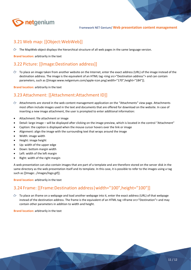

# <span id="page-10-0"></span>3.21 Web map: [[Object:WebWeb]]

 $\Diamond$  The MapWeb object displays the hierarchical structure of all web pages in the same language version.

**Brand location:** arbitrarily in the text

# <span id="page-10-1"></span>3.22 Picture: [[Image:Destination address]]

 $\circ$  To place an image taken from another website on the Internet, enter the exact address (URL) of the image instead of the destination address. The image is the equivalent of an HTML tag <img src="Destination address"> and can contain parameters, such as [[Image:www.netgenium.com/apple-icon.png|width="170",height="184"]].

**Brand location:** arbitrarily in the text

# <span id="page-10-2"></span>3.23 Attachment: [[Attachment:Attachment ID]]

- Attachments are stored in the web content management application on the "Attachments" view page. Attachments most often include images used in the text and documents that are offered for download on the website. In case of inserting a new image attachment, the user is prompted to enter additional information:
- Attachment: file attachment or image
- Detail: large image will be displayed after clicking on the image preview, which is located in the control "Attachment"
- Caption: the caption is displayed when the mouse cursor hovers over the link or image
- Alignment: align the image with the surrounding text that wraps around the image
- Width: image width
- Height: image height
- Up: width of the upper edge
- Down: bottom margin width
- Left: width of the left margin
- Right: width of the right margin

A web presentation can also contain images that are part of a template and are therefore stored on the server disk in the same directory as the web presentation itself and its template. In this case, it is possible to refer to the images using a tag such as [[Image:../images/logo.gif]].

**Brand location:** arbitrarily in the text

# <span id="page-10-3"></span>3.24 Frame: [[Frame:Destination address|width="100",height="100"]]

 $\circ$  To place an iframe on a webpage and load another webpage into it, enter the exact address (URL) of that webpage instead of the destination address. The frame is the equivalent of an HTML tag <iframe src="Destination"> and may contain other parameters in addition to width and height.

**Brand location:** arbitrarily in the text